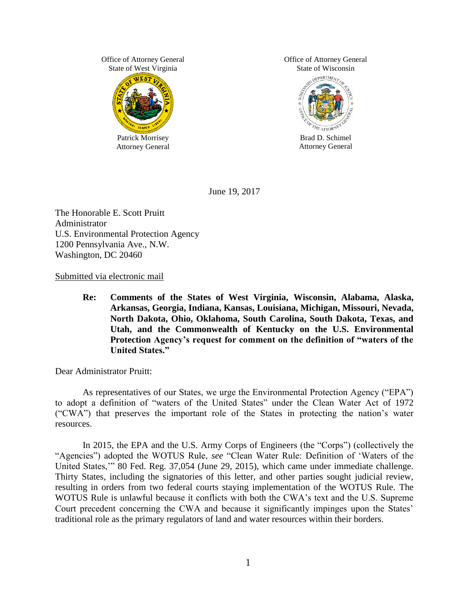Office of Attorney General State of West Virginia



Office of Attorney General State of Wisconsin



Brad D. Schimel Attorney General

June 19, 2017

The Honorable E. Scott Pruitt Administrator U.S. Environmental Protection Agency 1200 Pennsylvania Ave., N.W. Washington, DC 20460

Submitted via electronic mail

**Re: Comments of the States of West Virginia, Wisconsin, Alabama, Alaska, Arkansas, Georgia, Indiana, Kansas, Louisiana, Michigan, Missouri, Nevada, North Dakota, Ohio, Oklahoma, South Carolina, South Dakota, Texas, and Utah, and the Commonwealth of Kentucky on the U.S. Environmental Protection Agency's request for comment on the definition of "waters of the United States."** 

Dear Administrator Pruitt:

As representatives of our States, we urge the Environmental Protection Agency ("EPA") to adopt a definition of "waters of the United States" under the Clean Water Act of 1972 ("CWA") that preserves the important role of the States in protecting the nation's water resources.

In 2015, the EPA and the U.S. Army Corps of Engineers (the "Corps") (collectively the "Agencies") adopted the WOTUS Rule, *see* "Clean Water Rule: Definition of 'Waters of the United States,'" 80 Fed. Reg. 37,054 (June 29, 2015), which came under immediate challenge. Thirty States, including the signatories of this letter, and other parties sought judicial review, resulting in orders from two federal courts staying implementation of the WOTUS Rule. The WOTUS Rule is unlawful because it conflicts with both the CWA's text and the U.S. Supreme Court precedent concerning the CWA and because it significantly impinges upon the States' traditional role as the primary regulators of land and water resources within their borders.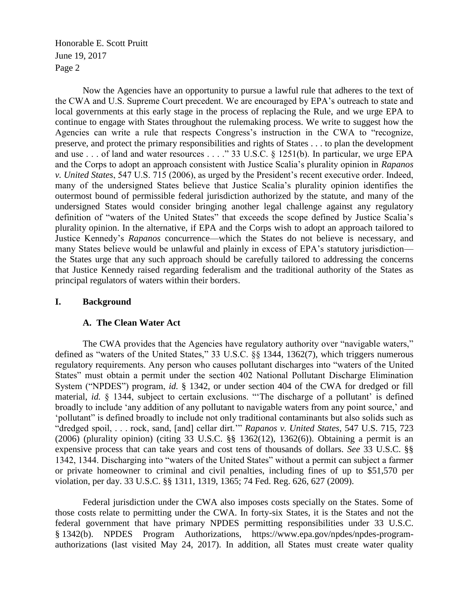Now the Agencies have an opportunity to pursue a lawful rule that adheres to the text of the CWA and U.S. Supreme Court precedent. We are encouraged by EPA's outreach to state and local governments at this early stage in the process of replacing the Rule, and we urge EPA to continue to engage with States throughout the rulemaking process. We write to suggest how the Agencies can write a rule that respects Congress's instruction in the CWA to "recognize, preserve, and protect the primary responsibilities and rights of States . . . to plan the development and use . . . of land and water resources . . . ." 33 U.S.C. § 1251(b). In particular, we urge EPA and the Corps to adopt an approach consistent with Justice Scalia's plurality opinion in *Rapanos v. United States*, 547 U.S. 715 (2006), as urged by the President's recent executive order. Indeed, many of the undersigned States believe that Justice Scalia's plurality opinion identifies the outermost bound of permissible federal jurisdiction authorized by the statute, and many of the undersigned States would consider bringing another legal challenge against any regulatory definition of "waters of the United States" that exceeds the scope defined by Justice Scalia's plurality opinion. In the alternative, if EPA and the Corps wish to adopt an approach tailored to Justice Kennedy's *Rapanos* concurrence—which the States do not believe is necessary, and many States believe would be unlawful and plainly in excess of EPA's statutory jurisdiction the States urge that any such approach should be carefully tailored to addressing the concerns that Justice Kennedy raised regarding federalism and the traditional authority of the States as principal regulators of waters within their borders.

#### **I. Background**

#### **A. The Clean Water Act**

The CWA provides that the Agencies have regulatory authority over "navigable waters," defined as "waters of the United States," 33 U.S.C. §§ 1344, 1362(7), which triggers numerous regulatory requirements. Any person who causes pollutant discharges into "waters of the United States" must obtain a permit under the section 402 National Pollutant Discharge Elimination System ("NPDES") program, *id.* § 1342, or under section 404 of the CWA for dredged or fill material, *id.* § 1344, subject to certain exclusions. "The discharge of a pollutant' is defined broadly to include 'any addition of any pollutant to navigable waters from any point source,' and 'pollutant" is defined broadly to include not only traditional contaminants but also solids such as "dredged spoil, . . . rock, sand, [and] cellar dirt.'" *Rapanos v. United States*, 547 U.S. 715, 723 (2006) (plurality opinion) (citing 33 U.S.C. §§ 1362(12), 1362(6)). Obtaining a permit is an expensive process that can take years and cost tens of thousands of dollars. *See* 33 U.S.C. §§ 1342, 1344. Discharging into "waters of the United States" without a permit can subject a farmer or private homeowner to criminal and civil penalties, including fines of up to \$51,570 per violation, per day. 33 U.S.C. §§ 1311, 1319, 1365; 74 Fed. Reg. 626, 627 (2009).

Federal jurisdiction under the CWA also imposes costs specially on the States. Some of those costs relate to permitting under the CWA. In forty-six States, it is the States and not the federal government that have primary NPDES permitting responsibilities under 33 U.S.C. § 1342(b). NPDES Program Authorizations, https://www.epa.gov/npdes/npdes-programauthorizations (last visited May 24, 2017). In addition, all States must create water quality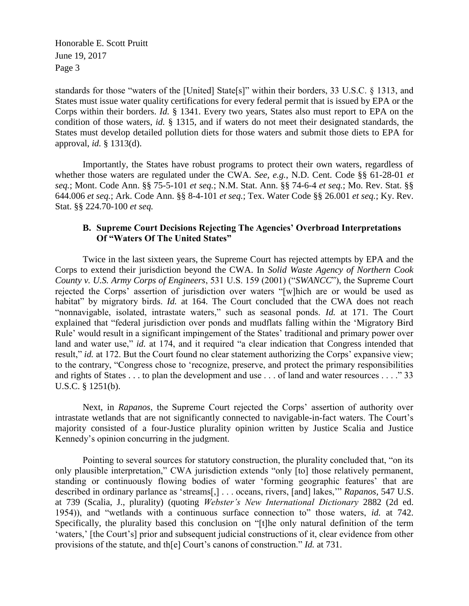standards for those "waters of the [United] State[s]" within their borders, 33 U.S.C. § 1313, and States must issue water quality certifications for every federal permit that is issued by EPA or the Corps within their borders. *Id.* § 1341. Every two years, States also must report to EPA on the condition of those waters, *id.* § 1315, and if waters do not meet their designated standards, the States must develop detailed pollution diets for those waters and submit those diets to EPA for approval, *id.* § 1313(d).

Importantly, the States have robust programs to protect their own waters, regardless of whether those waters are regulated under the CWA. *See, e.g.*, N.D. Cent. Code §§ 61-28-01 *et seq.*; Mont. Code Ann. §§ 75-5-101 *et seq.*; N.M. Stat. Ann. §§ 74-6-4 *et seq.*; Mo. Rev. Stat. §§ 644.006 *et seq.*; Ark. Code Ann. §§ 8-4-101 *et seq.*; Tex. Water Code §§ 26.001 *et seq.*; Ky. Rev. Stat. §§ 224.70-100 *et seq.*

# **B. Supreme Court Decisions Rejecting The Agencies' Overbroad Interpretations Of "Waters Of The United States"**

Twice in the last sixteen years, the Supreme Court has rejected attempts by EPA and the Corps to extend their jurisdiction beyond the CWA. In *Solid Waste Agency of Northern Cook County v. U.S. Army Corps of Engineers*, 531 U.S. 159 (2001) ("*SWANCC*"), the Supreme Court rejected the Corps' assertion of jurisdiction over waters "[w]hich are or would be used as habitat" by migratory birds. *Id.* at 164. The Court concluded that the CWA does not reach "nonnavigable, isolated, intrastate waters," such as seasonal ponds. *Id.* at 171. The Court explained that "federal jurisdiction over ponds and mudflats falling within the 'Migratory Bird Rule' would result in a significant impingement of the States' traditional and primary power over land and water use," *id.* at 174, and it required "a clear indication that Congress intended that result," *id.* at 172. But the Court found no clear statement authorizing the Corps' expansive view; to the contrary, "Congress chose to 'recognize, preserve, and protect the primary responsibilities and rights of States . . . to plan the development and use . . . of land and water resources . . . ." 33 U.S.C. § 1251(b).

Next, in *Rapanos*, the Supreme Court rejected the Corps' assertion of authority over intrastate wetlands that are not significantly connected to navigable-in-fact waters. The Court's majority consisted of a four-Justice plurality opinion written by Justice Scalia and Justice Kennedy's opinion concurring in the judgment.

Pointing to several sources for statutory construction, the plurality concluded that, "on its only plausible interpretation," CWA jurisdiction extends "only [to] those relatively permanent, standing or continuously flowing bodies of water 'forming geographic features' that are described in ordinary parlance as 'streams[,] . . . oceans, rivers, [and] lakes,'" *Rapanos*, 547 U.S. at 739 (Scalia, J., plurality) (quoting *Webster's New International Dictionary* 2882 (2d ed. 1954)), and "wetlands with a continuous surface connection to" those waters, *id.* at 742. Specifically, the plurality based this conclusion on "[t]he only natural definition of the term 'waters,' [the Court's] prior and subsequent judicial constructions of it, clear evidence from other provisions of the statute, and th[e] Court's canons of construction." *Id.* at 731.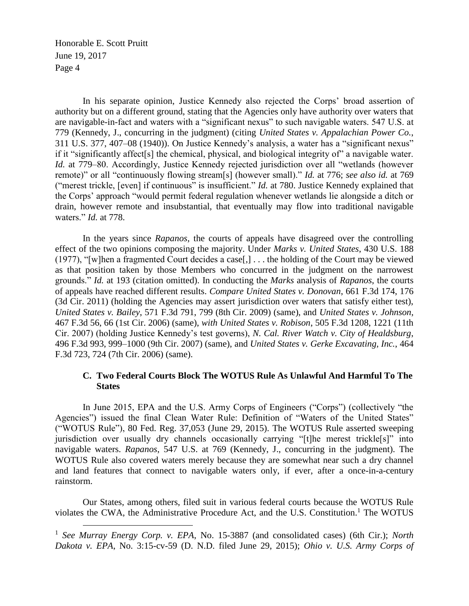$\overline{a}$ 

In his separate opinion, Justice Kennedy also rejected the Corps' broad assertion of authority but on a different ground, stating that the Agencies only have authority over waters that are navigable-in-fact and waters with a "significant nexus" to such navigable waters. 547 U.S. at 779 (Kennedy, J., concurring in the judgment) (citing *United States v. Appalachian Power Co.*, 311 U.S. 377, 407–08 (1940)). On Justice Kennedy's analysis, a water has a "significant nexus" if it "significantly affect[s] the chemical, physical, and biological integrity of" a navigable water. *Id.* at 779–80. Accordingly, Justice Kennedy rejected jurisdiction over all "wetlands (however remote)" or all "continuously flowing stream[s] (however small)." *Id.* at 776; *see also id.* at 769 ("merest trickle, [even] if continuous" is insufficient." *Id.* at 780. Justice Kennedy explained that the Corps' approach "would permit federal regulation whenever wetlands lie alongside a ditch or drain, however remote and insubstantial, that eventually may flow into traditional navigable waters." *Id.* at 778.

In the years since *Rapanos*, the courts of appeals have disagreed over the controlling effect of the two opinions composing the majority. Under *Marks v. United States*, 430 U.S. 188 (1977), "[w]hen a fragmented Court decides a case[,] . . . the holding of the Court may be viewed as that position taken by those Members who concurred in the judgment on the narrowest grounds." *Id.* at 193 (citation omitted). In conducting the *Marks* analysis of *Rapanos*, the courts of appeals have reached different results. *Compare United States v. Donovan*, 661 F.3d 174, 176 (3d Cir. 2011) (holding the Agencies may assert jurisdiction over waters that satisfy either test), *United States v. Bailey*, 571 F.3d 791, 799 (8th Cir. 2009) (same), and *United States v. Johnson*, 467 F.3d 56, 66 (1st Cir. 2006) (same), *with United States v. Robison*, 505 F.3d 1208, 1221 (11th Cir. 2007) (holding Justice Kennedy's test governs), *N. Cal. River Watch v. City of Healdsburg*, 496 F.3d 993, 999–1000 (9th Cir. 2007) (same), and *United States v. Gerke Excavating, Inc.*, 464 F.3d 723, 724 (7th Cir. 2006) (same).

#### **C. Two Federal Courts Block The WOTUS Rule As Unlawful And Harmful To The States**

In June 2015, EPA and the U.S. Army Corps of Engineers ("Corps") (collectively "the Agencies") issued the final Clean Water Rule: Definition of "Waters of the United States" ("WOTUS Rule"), 80 Fed. Reg. 37,053 (June 29, 2015). The WOTUS Rule asserted sweeping jurisdiction over usually dry channels occasionally carrying "[t]he merest trickle[s]" into navigable waters. *Rapanos*, 547 U.S. at 769 (Kennedy, J., concurring in the judgment). The WOTUS Rule also covered waters merely because they are somewhat near such a dry channel and land features that connect to navigable waters only, if ever, after a once-in-a-century rainstorm.

Our States, among others, filed suit in various federal courts because the WOTUS Rule violates the CWA, the Administrative Procedure Act, and the U.S. Constitution.<sup>1</sup> The WOTUS

<sup>&</sup>lt;sup>1</sup> See Murray Energy Corp. v. EPA, No. 15-3887 (and consolidated cases) (6th Cir.); *North Dakota v. EPA*, No. 3:15-cv-59 (D. N.D. filed June 29, 2015); *Ohio v. U.S. Army Corps of*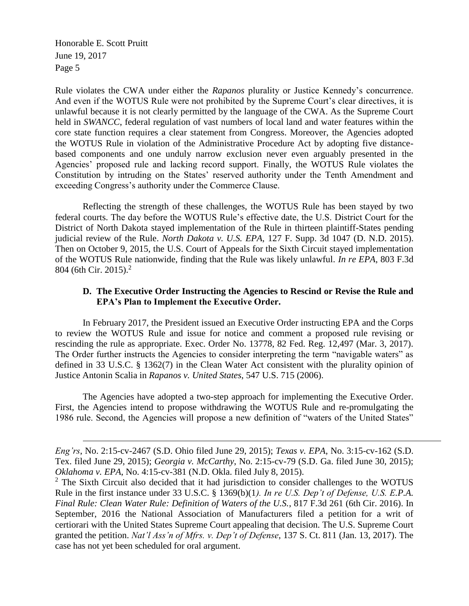$\overline{a}$ 

Rule violates the CWA under either the *Rapanos* plurality or Justice Kennedy's concurrence. And even if the WOTUS Rule were not prohibited by the Supreme Court's clear directives, it is unlawful because it is not clearly permitted by the language of the CWA. As the Supreme Court held in *SWANCC*, federal regulation of vast numbers of local land and water features within the core state function requires a clear statement from Congress. Moreover, the Agencies adopted the WOTUS Rule in violation of the Administrative Procedure Act by adopting five distancebased components and one unduly narrow exclusion never even arguably presented in the Agencies' proposed rule and lacking record support. Finally, the WOTUS Rule violates the Constitution by intruding on the States' reserved authority under the Tenth Amendment and exceeding Congress's authority under the Commerce Clause.

Reflecting the strength of these challenges, the WOTUS Rule has been stayed by two federal courts. The day before the WOTUS Rule's effective date, the U.S. District Court for the District of North Dakota stayed implementation of the Rule in thirteen plaintiff-States pending judicial review of the Rule. *North Dakota v. U.S. EPA*, 127 F. Supp. 3d 1047 (D. N.D. 2015). Then on October 9, 2015, the U.S. Court of Appeals for the Sixth Circuit stayed implementation of the WOTUS Rule nationwide, finding that the Rule was likely unlawful. *In re EPA*, 803 F.3d 804 (6th Cir. 2015).<sup>2</sup>

#### **D. The Executive Order Instructing the Agencies to Rescind or Revise the Rule and EPA's Plan to Implement the Executive Order.**

In February 2017, the President issued an Executive Order instructing EPA and the Corps to review the WOTUS Rule and issue for notice and comment a proposed rule revising or rescinding the rule as appropriate. Exec. Order No. 13778, 82 Fed. Reg. 12,497 (Mar. 3, 2017). The Order further instructs the Agencies to consider interpreting the term "navigable waters" as defined in 33 U.S.C. § 1362(7) in the Clean Water Act consistent with the plurality opinion of Justice Antonin Scalia in *Rapanos v. United States*, 547 U.S. 715 (2006).

The Agencies have adopted a two-step approach for implementing the Executive Order. First, the Agencies intend to propose withdrawing the WOTUS Rule and re-promulgating the 1986 rule. Second, the Agencies will propose a new definition of "waters of the United States"

*Eng'rs*, No. 2:15-cv-2467 (S.D. Ohio filed June 29, 2015); *Texas v. EPA*, No. 3:15-cv-162 (S.D. Tex. filed June 29, 2015); *Georgia v. McCarthy*, No. 2:15-cv-79 (S.D. Ga. filed June 30, 2015); *Oklahoma v. EPA*, No. 4:15-cv-381 (N.D. Okla. filed July 8, 2015).

<sup>&</sup>lt;sup>2</sup> The Sixth Circuit also decided that it had jurisdiction to consider challenges to the WOTUS Rule in the first instance under 33 U.S.C. § 1369(b)(1*). In re U.S. Dep't of Defense, U.S. E.P.A. Final Rule: Clean Water Rule: Definition of Waters of the U.S.*, 817 F.3d 261 (6th Cir. 2016). In September, 2016 the National Association of Manufacturers filed a petition for a writ of certiorari with the United States Supreme Court appealing that decision. The U.S. Supreme Court granted the petition. *Nat'l Ass'n of Mfrs. v. Dep't of Defense*, 137 S. Ct. 811 (Jan. 13, 2017). The case has not yet been scheduled for oral argument.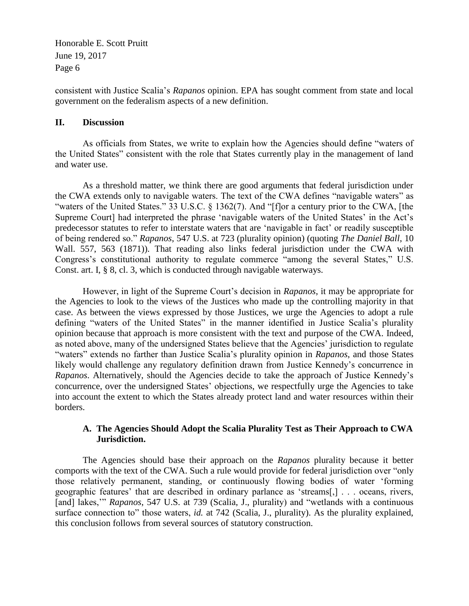consistent with Justice Scalia's *Rapanos* opinion. EPA has sought comment from state and local government on the federalism aspects of a new definition.

### **II. Discussion**

As officials from States, we write to explain how the Agencies should define "waters of the United States" consistent with the role that States currently play in the management of land and water use.

As a threshold matter, we think there are good arguments that federal jurisdiction under the CWA extends only to navigable waters. The text of the CWA defines "navigable waters" as "waters of the United States." 33 U.S.C. § 1362(7). And "[f]or a century prior to the CWA, [the Supreme Court] had interpreted the phrase 'navigable waters of the United States' in the Act's predecessor statutes to refer to interstate waters that are 'navigable in fact' or readily susceptible of being rendered so." *Rapanos*, 547 U.S. at 723 (plurality opinion) (quoting *The Daniel Ball*, 10 Wall. 557, 563 (1871)). That reading also links federal jurisdiction under the CWA with Congress's constitutional authority to regulate commerce "among the several States," U.S. Const. art. I, § 8, cl. 3, which is conducted through navigable waterways.

However, in light of the Supreme Court's decision in *Rapanos*, it may be appropriate for the Agencies to look to the views of the Justices who made up the controlling majority in that case. As between the views expressed by those Justices, we urge the Agencies to adopt a rule defining "waters of the United States" in the manner identified in Justice Scalia's plurality opinion because that approach is more consistent with the text and purpose of the CWA. Indeed, as noted above, many of the undersigned States believe that the Agencies' jurisdiction to regulate "waters" extends no farther than Justice Scalia's plurality opinion in *Rapanos*, and those States likely would challenge any regulatory definition drawn from Justice Kennedy's concurrence in *Rapanos*. Alternatively, should the Agencies decide to take the approach of Justice Kennedy's concurrence, over the undersigned States' objections, we respectfully urge the Agencies to take into account the extent to which the States already protect land and water resources within their borders.

### **A. The Agencies Should Adopt the Scalia Plurality Test as Their Approach to CWA Jurisdiction.**

The Agencies should base their approach on the *Rapanos* plurality because it better comports with the text of the CWA. Such a rule would provide for federal jurisdiction over "only those relatively permanent, standing, or continuously flowing bodies of water 'forming geographic features' that are described in ordinary parlance as 'streams[,] . . . oceans, rivers, [and] lakes,'" *Rapanos*, 547 U.S. at 739 (Scalia, J., plurality) and "wetlands with a continuous surface connection to" those waters, *id.* at 742 (Scalia, J., plurality). As the plurality explained, this conclusion follows from several sources of statutory construction.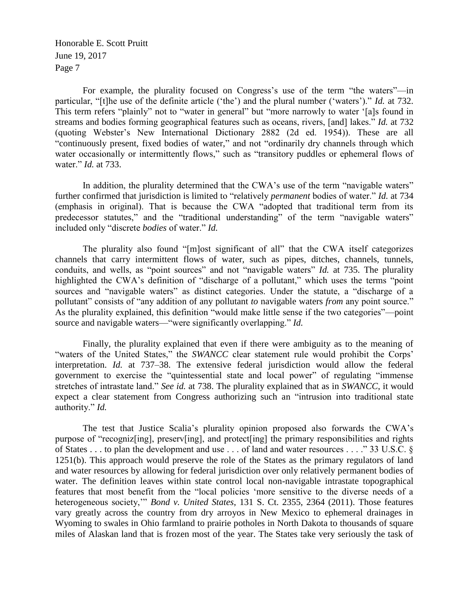For example, the plurality focused on Congress's use of the term "the waters"—in particular, "[t]he use of the definite article ('the') and the plural number ('waters')." *Id.* at 732. This term refers "plainly" not to "water in general" but "more narrowly to water '[a]s found in streams and bodies forming geographical features such as oceans, rivers, [and] lakes." *Id.* at 732 (quoting Webster's New International Dictionary 2882 (2d ed. 1954)). These are all "continuously present, fixed bodies of water," and not "ordinarily dry channels through which water occasionally or intermittently flows," such as "transitory puddles or ephemeral flows of water." *Id.* at 733.

In addition, the plurality determined that the CWA's use of the term "navigable waters" further confirmed that jurisdiction is limited to "relatively *permanent* bodies of water." *Id.* at 734 (emphasis in original). That is because the CWA "adopted that traditional term from its predecessor statutes," and the "traditional understanding" of the term "navigable waters" included only "discrete *bodies* of water." *Id.*

The plurality also found "[m]ost significant of all" that the CWA itself categorizes channels that carry intermittent flows of water, such as pipes, ditches, channels, tunnels, conduits, and wells, as "point sources" and not "navigable waters" *Id.* at 735. The plurality highlighted the CWA's definition of "discharge of a pollutant," which uses the terms "point" sources and "navigable waters" as distinct categories. Under the statute, a "discharge of a pollutant" consists of "any addition of any pollutant *to* navigable waters *from* any point source." As the plurality explained, this definition "would make little sense if the two categories"—point source and navigable waters—"were significantly overlapping." *Id.*

Finally, the plurality explained that even if there were ambiguity as to the meaning of "waters of the United States," the SWANCC clear statement rule would prohibit the Corps' interpretation. *Id.* at 737–38. The extensive federal jurisdiction would allow the federal government to exercise the "quintessential state and local power" of regulating "immense stretches of intrastate land." *See id.* at 738. The plurality explained that as in *SWANCC*, it would expect a clear statement from Congress authorizing such an "intrusion into traditional state authority." *Id.*

The test that Justice Scalia's plurality opinion proposed also forwards the CWA's purpose of "recogniz[ing], preserv[ing], and protect[ing] the primary responsibilities and rights of States . . . to plan the development and use . . . of land and water resources . . . ." 33 U.S.C. § 1251(b). This approach would preserve the role of the States as the primary regulators of land and water resources by allowing for federal jurisdiction over only relatively permanent bodies of water. The definition leaves within state control local non-navigable intrastate topographical features that most benefit from the "local policies 'more sensitive to the diverse needs of a heterogeneous society,'" *Bond v. United States*, 131 S. Ct. 2355, 2364 (2011). Those features vary greatly across the country from dry arroyos in New Mexico to ephemeral drainages in Wyoming to swales in Ohio farmland to prairie potholes in North Dakota to thousands of square miles of Alaskan land that is frozen most of the year. The States take very seriously the task of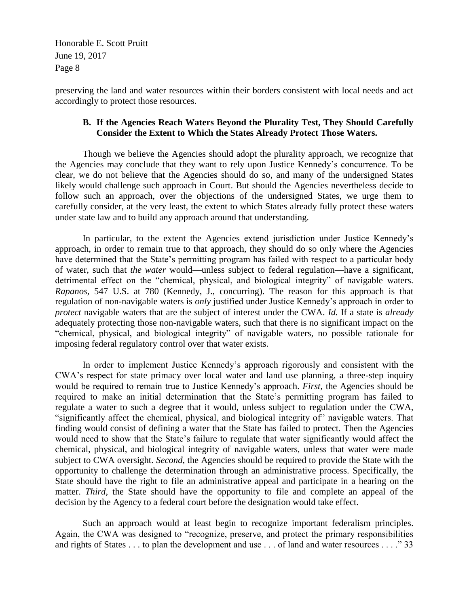preserving the land and water resources within their borders consistent with local needs and act accordingly to protect those resources.

# **B. If the Agencies Reach Waters Beyond the Plurality Test, They Should Carefully Consider the Extent to Which the States Already Protect Those Waters.**

Though we believe the Agencies should adopt the plurality approach, we recognize that the Agencies may conclude that they want to rely upon Justice Kennedy's concurrence. To be clear, we do not believe that the Agencies should do so, and many of the undersigned States likely would challenge such approach in Court. But should the Agencies nevertheless decide to follow such an approach, over the objections of the undersigned States, we urge them to carefully consider, at the very least, the extent to which States already fully protect these waters under state law and to build any approach around that understanding.

In particular, to the extent the Agencies extend jurisdiction under Justice Kennedy's approach, in order to remain true to that approach, they should do so only where the Agencies have determined that the State's permitting program has failed with respect to a particular body of water, such that *the water* would—unless subject to federal regulation—have a significant, detrimental effect on the "chemical, physical, and biological integrity" of navigable waters. *Rapanos*, 547 U.S. at 780 (Kennedy, J., concurring). The reason for this approach is that regulation of non-navigable waters is *only* justified under Justice Kennedy's approach in order to *protect* navigable waters that are the subject of interest under the CWA. *Id.* If a state is *already* adequately protecting those non-navigable waters, such that there is no significant impact on the "chemical, physical, and biological integrity" of navigable waters, no possible rationale for imposing federal regulatory control over that water exists.

In order to implement Justice Kennedy's approach rigorously and consistent with the CWA's respect for state primacy over local water and land use planning, a three-step inquiry would be required to remain true to Justice Kennedy's approach. *First*, the Agencies should be required to make an initial determination that the State's permitting program has failed to regulate a water to such a degree that it would, unless subject to regulation under the CWA, "significantly affect the chemical, physical, and biological integrity of" navigable waters. That finding would consist of defining a water that the State has failed to protect. Then the Agencies would need to show that the State's failure to regulate that water significantly would affect the chemical, physical, and biological integrity of navigable waters, unless that water were made subject to CWA oversight. *Second*, the Agencies should be required to provide the State with the opportunity to challenge the determination through an administrative process. Specifically, the State should have the right to file an administrative appeal and participate in a hearing on the matter. *Third*, the State should have the opportunity to file and complete an appeal of the decision by the Agency to a federal court before the designation would take effect.

Such an approach would at least begin to recognize important federalism principles. Again, the CWA was designed to "recognize, preserve, and protect the primary responsibilities and rights of States . . . to plan the development and use . . . of land and water resources . . . . "33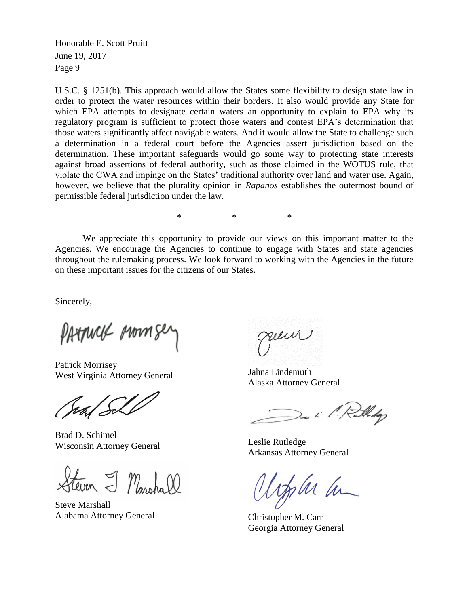U.S.C. § 1251(b). This approach would allow the States some flexibility to design state law in order to protect the water resources within their borders. It also would provide any State for which EPA attempts to designate certain waters an opportunity to explain to EPA why its regulatory program is sufficient to protect those waters and contest EPA's determination that those waters significantly affect navigable waters. And it would allow the State to challenge such a determination in a federal court before the Agencies assert jurisdiction based on the determination. These important safeguards would go some way to protecting state interests against broad assertions of federal authority, such as those claimed in the WOTUS rule, that violate the CWA and impinge on the States' traditional authority over land and water use. Again, however, we believe that the plurality opinion in *Rapanos* establishes the outermost bound of permissible federal jurisdiction under the law.

\* \* \*

We appreciate this opportunity to provide our views on this important matter to the Agencies. We encourage the Agencies to continue to engage with States and state agencies throughout the rulemaking process. We look forward to working with the Agencies in the future on these important issues for the citizens of our States.

Sincerely,

PATANCK ARMA

Patrick Morrisey West Virginia Attorney General

Brad D. Schimel Wisconsin Attorney General

Even I Masshall

Steve Marshall Alabama Attorney General

Jahna Lindemuth Alaska Attorney General

De il Rulledge

Leslie Rutledge Arkansas Attorney General

John ha

Christopher M. Carr Georgia Attorney General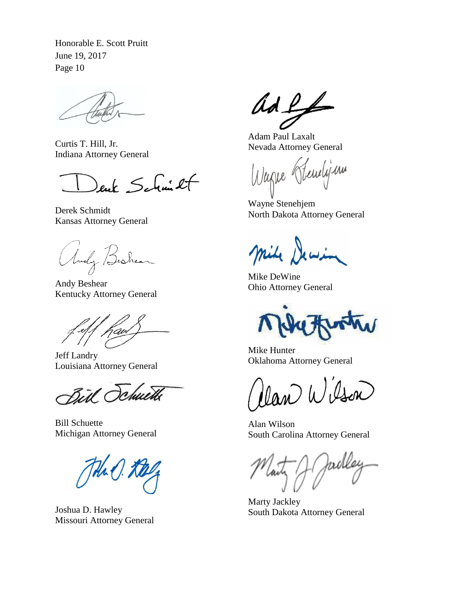Curtis T. Hill, Jr. Indiana Attorney General

enk Schmit

Derek Schmidt Kansas Attorney General

Andy Bishean

Andy Beshear Kentucky Attorney General

Jeff Landry Louisiana Attorney General

Bill Schuetts

Bill Schuette Michigan Attorney General

Joshua D. Hawley Missouri Attorney General

 $AdL_{+}$ 

Adam Paul Laxalt Nevada Attorney General

Wagne Hendijam

Wayne Stenehjem North Dakota Attorney General

mile Dewin

Mike DeWine Ohio Attorney General

Mike Hunter Oklahoma Attorney General

Man Wilson

Alan Wilson South Carolina Attorney General

krell

Marty Jackley South Dakota Attorney General